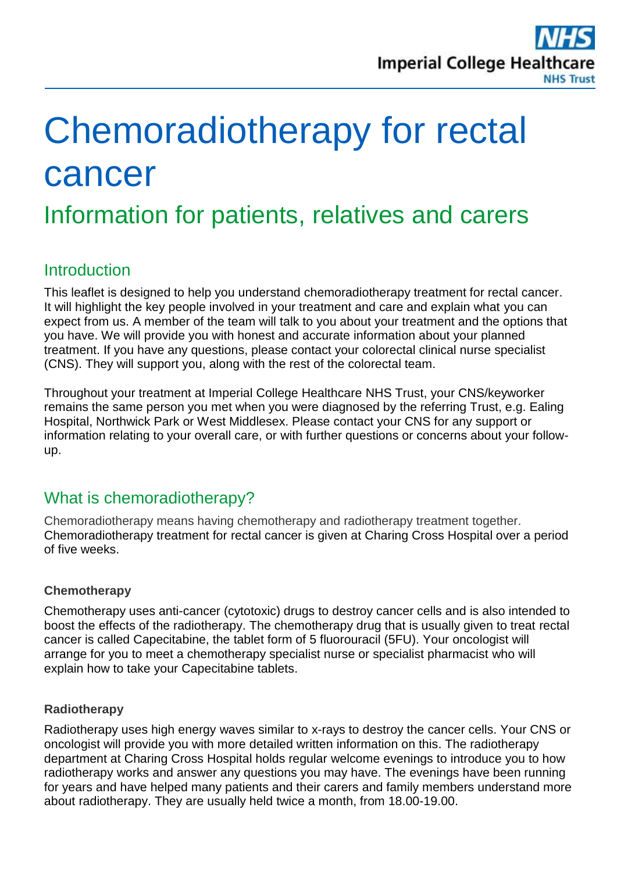

# Chemoradiotherapy for rectal cancer

Information for patients, relatives and carers

## **Introduction**

This leaflet is designed to help you understand chemoradiotherapy treatment for rectal cancer. It will highlight the key people involved in your treatment and care and explain what you can expect from us. A member of the team will talk to you about your treatment and the options that you have. We will provide you with honest and accurate information about your planned treatment. If you have any questions, please contact your colorectal clinical nurse specialist (CNS). They will support you, along with the rest of the colorectal team.

Throughout your treatment at Imperial College Healthcare NHS Trust, your CNS/keyworker remains the same person you met when you were diagnosed by the referring Trust, e.g. Ealing Hospital, Northwick Park or West Middlesex. Please contact your CNS for any support or information relating to your overall care, or with further questions or concerns about your followup.

# What is chemoradiotherapy?

Chemoradiotherapy means having chemotherapy and radiotherapy treatment together. Chemoradiotherapy treatment for rectal cancer is given at Charing Cross Hospital over a period of five weeks.

#### **Chemotherapy**

Chemotherapy uses anti-cancer (cytotoxic) drugs to destroy cancer cells and is also intended to boost the effects of the radiotherapy. The chemotherapy drug that is usually given to treat rectal cancer is called Capecitabine, the tablet form of 5 fluorouracil (5FU). Your oncologist will arrange for you to meet a chemotherapy specialist nurse or specialist pharmacist who will explain how to take your Capecitabine tablets.

#### **Radiotherapy**

Radiotherapy uses high energy waves similar to x-rays to destroy the cancer cells. Your CNS or oncologist will provide you with more detailed written information on this. The radiotherapy department at Charing Cross Hospital holds regular welcome evenings to introduce you to how radiotherapy works and answer any questions you may have. The evenings have been running for years and have helped many patients and their carers and family members understand more about radiotherapy. They are usually held twice a month, from 18.00-19.00.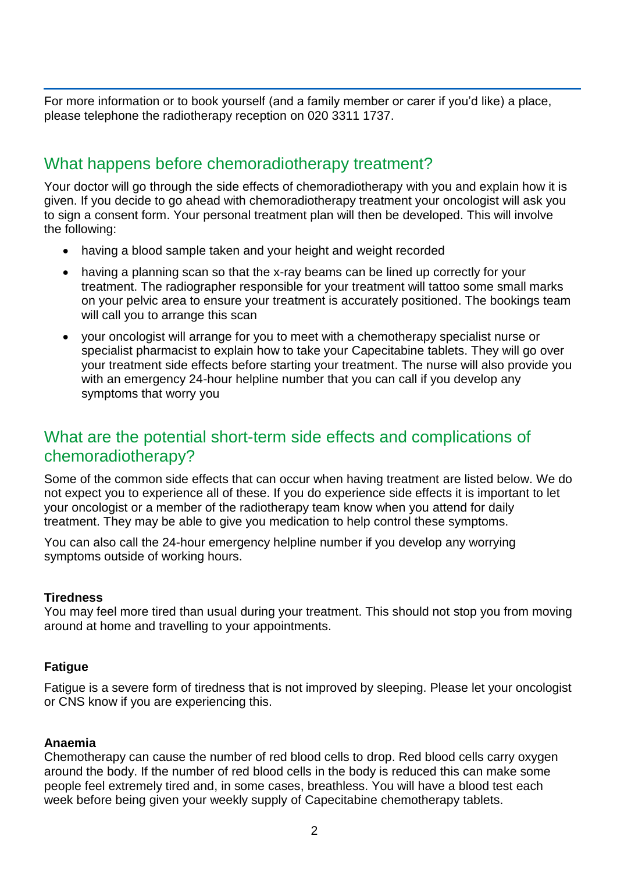For more information or to book yourself (and a family member or carer if you'd like) a place, please telephone the radiotherapy reception on 020 3311 1737.

# What happens before chemoradiotherapy treatment?

Your doctor will go through the side effects of chemoradiotherapy with you and explain how it is given. If you decide to go ahead with chemoradiotherapy treatment your oncologist will ask you to sign a consent form. Your personal treatment plan will then be developed. This will involve the following:

- having a blood sample taken and your height and weight recorded
- having a planning scan so that the x-ray beams can be lined up correctly for your treatment. The radiographer responsible for your treatment will tattoo some small marks on your pelvic area to ensure your treatment is accurately positioned. The bookings team will call you to arrange this scan
- your oncologist will arrange for you to meet with a chemotherapy specialist nurse or specialist pharmacist to explain how to take your Capecitabine tablets. They will go over your treatment side effects before starting your treatment. The nurse will also provide you with an emergency 24-hour helpline number that you can call if you develop any symptoms that worry you

# What are the potential short-term side effects and complications of chemoradiotherapy?

Some of the common side effects that can occur when having treatment are listed below. We do not expect you to experience all of these. If you do experience side effects it is important to let your oncologist or a member of the radiotherapy team know when you attend for daily treatment. They may be able to give you medication to help control these symptoms.

You can also call the 24-hour emergency helpline number if you develop any worrying symptoms outside of working hours.

#### **Tiredness**

You may feel more tired than usual during your treatment. This should not stop you from moving around at home and travelling to your appointments.

#### **Fatigue**

Fatigue is a severe form of tiredness that is not improved by sleeping. Please let your oncologist or CNS know if you are experiencing this.

#### **Anaemia**

Chemotherapy can cause the number of red blood cells to drop. Red blood cells carry oxygen around the body. If the number of red blood cells in the body is reduced this can make some people feel extremely tired and, in some cases, breathless. You will have a blood test each week before being given your weekly supply of Capecitabine chemotherapy tablets.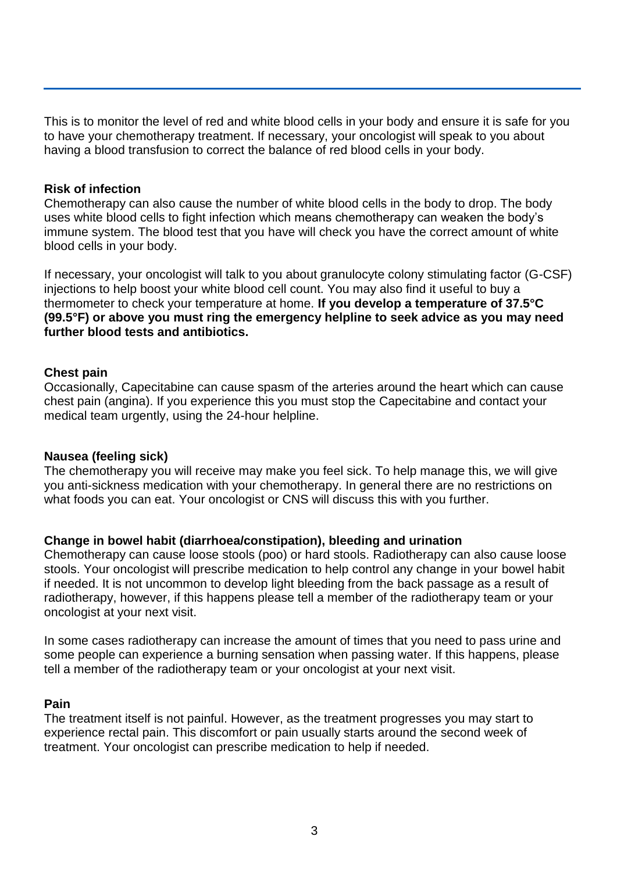This is to monitor the level of red and white blood cells in your body and ensure it is safe for you to have your chemotherapy treatment. If necessary, your oncologist will speak to you about having a blood transfusion to correct the balance of red blood cells in your body.

#### **Risk of infection**

Chemotherapy can also cause the number of white blood cells in the body to drop. The body uses white blood cells to fight infection which means chemotherapy can weaken the body's immune system. The blood test that you have will check you have the correct amount of white blood cells in your body.

If necessary, your oncologist will talk to you about granulocyte colony stimulating factor (G-CSF) injections to help boost your white blood cell count. You may also find it useful to buy a thermometer to check your temperature at home. **If you develop a temperature of 37.5°C (99.5°F) or above you must ring the emergency helpline to seek advice as you may need further blood tests and antibiotics.**

#### **Chest pain**

Occasionally, Capecitabine can cause spasm of the arteries around the heart which can cause chest pain (angina). If you experience this you must stop the Capecitabine and contact your medical team urgently, using the 24-hour helpline.

#### **Nausea (feeling sick)**

The chemotherapy you will receive may make you feel sick. To help manage this, we will give you anti-sickness medication with your chemotherapy. In general there are no restrictions on what foods you can eat. Your oncologist or CNS will discuss this with you further.

#### **Change in bowel habit (diarrhoea/constipation), bleeding and urination**

Chemotherapy can cause loose stools (poo) or hard stools. Radiotherapy can also cause loose stools. Your oncologist will prescribe medication to help control any change in your bowel habit if needed. It is not uncommon to develop light bleeding from the back passage as a result of radiotherapy, however, if this happens please tell a member of the radiotherapy team or your oncologist at your next visit.

In some cases radiotherapy can increase the amount of times that you need to pass urine and some people can experience a burning sensation when passing water. If this happens, please tell a member of the radiotherapy team or your oncologist at your next visit.

#### **Pain**

The treatment itself is not painful. However, as the treatment progresses you may start to experience rectal pain. This discomfort or pain usually starts around the second week of treatment. Your oncologist can prescribe medication to help if needed.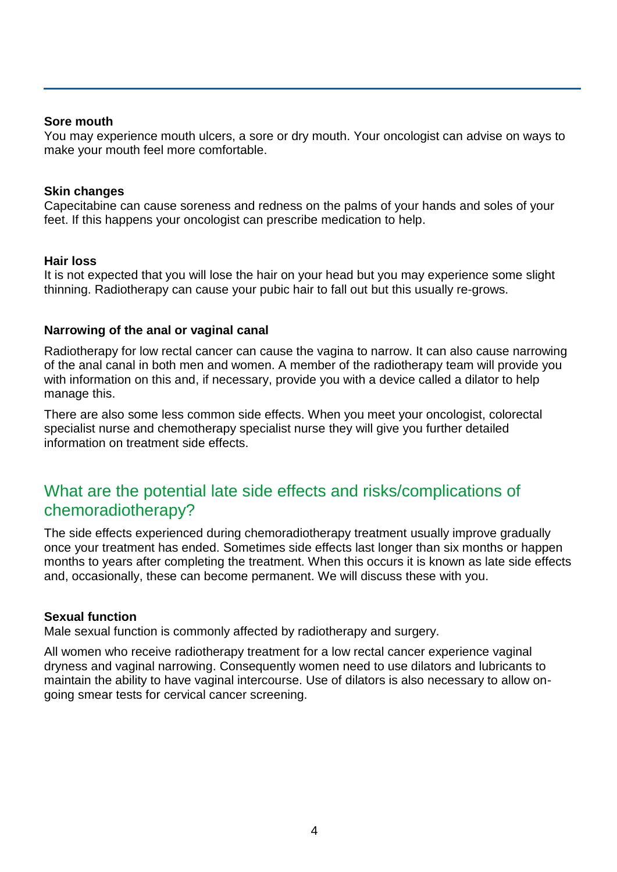#### **Sore mouth**

You may experience mouth ulcers, a sore or dry mouth. Your oncologist can advise on ways to make your mouth feel more comfortable.

#### **Skin changes**

Capecitabine can cause soreness and redness on the palms of your hands and soles of your feet. If this happens your oncologist can prescribe medication to help.

#### **Hair loss**

It is not expected that you will lose the hair on your head but you may experience some slight thinning. Radiotherapy can cause your pubic hair to fall out but this usually re-grows.

#### **Narrowing of the anal or vaginal canal**

Radiotherapy for low rectal cancer can cause the vagina to narrow. It can also cause narrowing of the anal canal in both men and women. A member of the radiotherapy team will provide you with information on this and, if necessary, provide you with a device called a dilator to help manage this.

There are also some less common side effects. When you meet your oncologist, colorectal specialist nurse and chemotherapy specialist nurse they will give you further detailed information on treatment side effects.

# What are the potential late side effects and risks/complications of chemoradiotherapy?

The side effects experienced during chemoradiotherapy treatment usually improve gradually once your treatment has ended. Sometimes side effects last longer than six months or happen months to years after completing the treatment. When this occurs it is known as late side effects and, occasionally, these can become permanent. We will discuss these with you.

#### **Sexual function**

Male sexual function is commonly affected by radiotherapy and surgery.

All women who receive radiotherapy treatment for a low rectal cancer experience vaginal dryness and vaginal narrowing. Consequently women need to use dilators and lubricants to maintain the ability to have vaginal intercourse. Use of dilators is also necessary to allow ongoing smear tests for cervical cancer screening.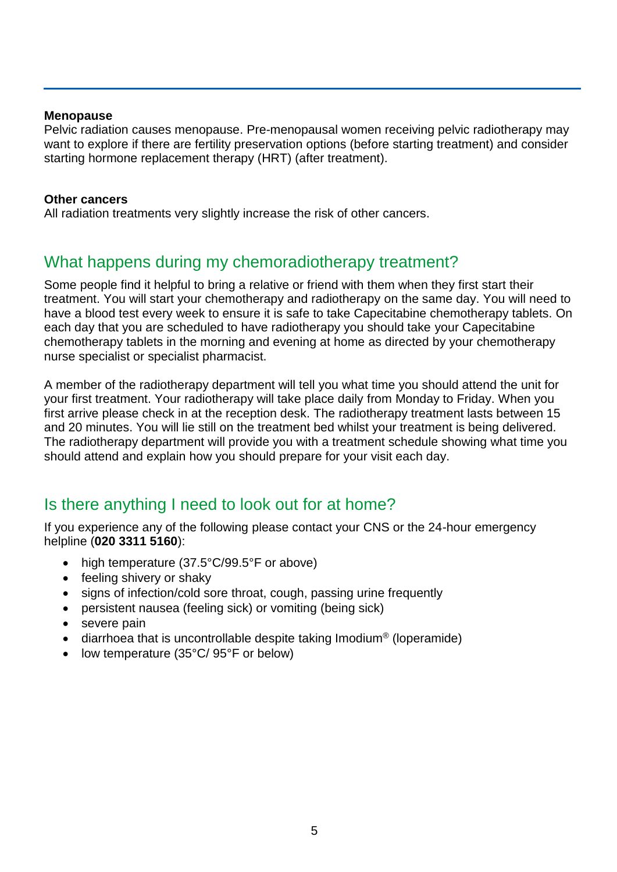#### **Menopause**

Pelvic radiation causes menopause. Pre-menopausal women receiving pelvic radiotherapy may want to explore if there are fertility preservation options (before starting treatment) and consider starting hormone replacement therapy (HRT) (after treatment).

#### **Other cancers**

All radiation treatments very slightly increase the risk of other cancers.

# What happens during my chemoradiotherapy treatment?

Some people find it helpful to bring a relative or friend with them when they first start their treatment. You will start your chemotherapy and radiotherapy on the same day. You will need to have a blood test every week to ensure it is safe to take Capecitabine chemotherapy tablets. On each day that you are scheduled to have radiotherapy you should take your Capecitabine chemotherapy tablets in the morning and evening at home as directed by your chemotherapy nurse specialist or specialist pharmacist.

A member of the radiotherapy department will tell you what time you should attend the unit for your first treatment. Your radiotherapy will take place daily from Monday to Friday. When you first arrive please check in at the reception desk. The radiotherapy treatment lasts between 15 and 20 minutes. You will lie still on the treatment bed whilst your treatment is being delivered. The radiotherapy department will provide you with a treatment schedule showing what time you should attend and explain how you should prepare for your visit each day.

## Is there anything I need to look out for at home?

If you experience any of the following please contact your CNS or the 24-hour emergency helpline (**020 3311 5160**):

- high temperature (37.5°C/99.5°F or above)
- feeling shivery or shaky
- signs of infection/cold sore throat, cough, passing urine frequently
- persistent nausea (feeling sick) or vomiting (being sick)
- severe pain
- diarrhoea that is uncontrollable despite taking Imodium<sup>®</sup> (loperamide)
- low temperature (35°C/ 95°F or below)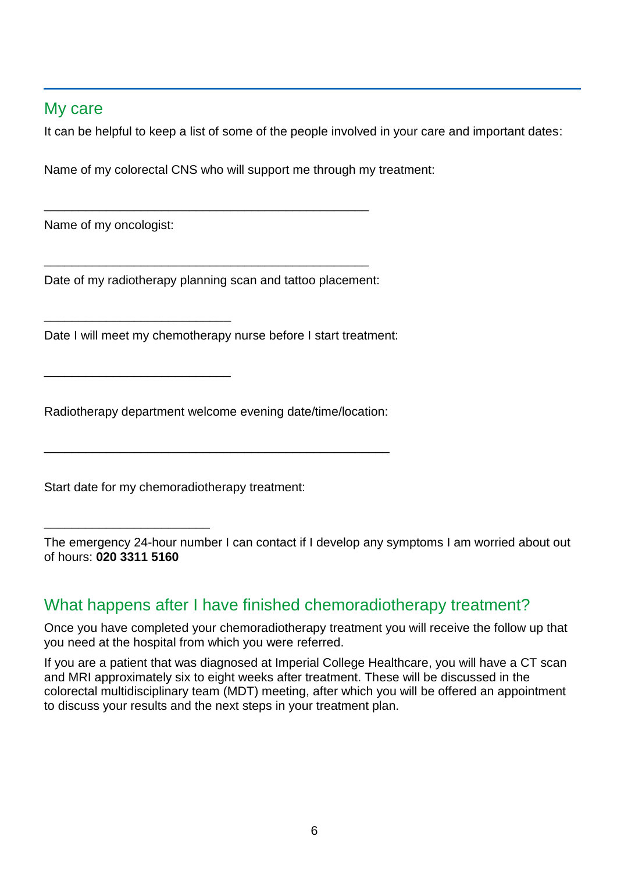## My care

It can be helpful to keep a list of some of the people involved in your care and important dates:

Name of my colorectal CNS who will support me through my treatment:

Name of my oncologist:

\_\_\_\_\_\_\_\_\_\_\_\_\_\_\_\_\_\_\_\_\_\_\_\_\_\_\_

\_\_\_\_\_\_\_\_\_\_\_\_\_\_\_\_\_\_\_\_\_\_\_\_\_\_\_

\_\_\_\_\_\_\_\_\_\_\_\_\_\_\_\_\_\_\_\_\_\_\_\_

Date of my radiotherapy planning scan and tattoo placement:

\_\_\_\_\_\_\_\_\_\_\_\_\_\_\_\_\_\_\_\_\_\_\_\_\_\_\_\_\_\_\_\_\_\_\_\_\_\_\_\_\_\_\_\_\_\_\_

\_\_\_\_\_\_\_\_\_\_\_\_\_\_\_\_\_\_\_\_\_\_\_\_\_\_\_\_\_\_\_\_\_\_\_\_\_\_\_\_\_\_\_\_\_\_\_

Date I will meet my chemotherapy nurse before I start treatment:

Radiotherapy department welcome evening date/time/location:

\_\_\_\_\_\_\_\_\_\_\_\_\_\_\_\_\_\_\_\_\_\_\_\_\_\_\_\_\_\_\_\_\_\_\_\_\_\_\_\_\_\_\_\_\_\_\_\_\_\_

Start date for my chemoradiotherapy treatment:

The emergency 24-hour number I can contact if I develop any symptoms I am worried about out of hours: **020 3311 5160**

# What happens after I have finished chemoradiotherapy treatment?

Once you have completed your chemoradiotherapy treatment you will receive the follow up that you need at the hospital from which you were referred.

If you are a patient that was diagnosed at Imperial College Healthcare, you will have a CT scan and MRI approximately six to eight weeks after treatment. These will be discussed in the colorectal multidisciplinary team (MDT) meeting, after which you will be offered an appointment to discuss your results and the next steps in your treatment plan.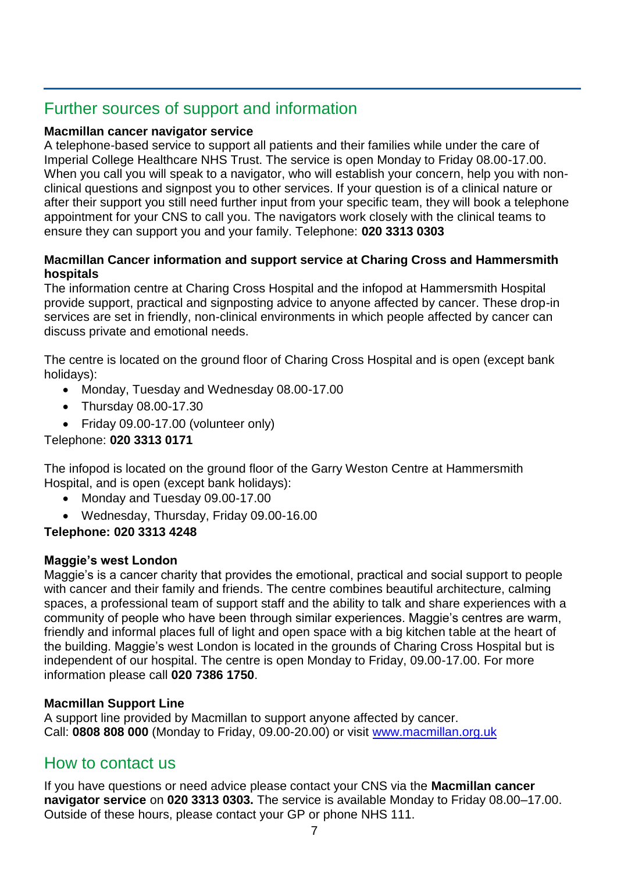# Further sources of support and information

#### **Macmillan cancer navigator service**

A telephone-based service to support all patients and their families while under the care of Imperial College Healthcare NHS Trust. The service is open Monday to Friday 08.00-17.00. When you call you will speak to a navigator, who will establish your concern, help you with nonclinical questions and signpost you to other services. If your question is of a clinical nature or after their support you still need further input from your specific team, they will book a telephone appointment for your CNS to call you. The navigators work closely with the clinical teams to ensure they can support you and your family. Telephone: **020 3313 0303**

#### **Macmillan Cancer information and support service at Charing Cross and Hammersmith hospitals**

The information centre at Charing Cross Hospital and the infopod at Hammersmith Hospital provide support, practical and signposting advice to anyone affected by cancer. These drop-in services are set in friendly, non-clinical environments in which people affected by cancer can discuss private and emotional needs.

The centre is located on the ground floor of Charing Cross Hospital and is open (except bank holidays):

- Monday, Tuesday and Wednesday 08.00-17.00
- Thursday 08.00-17.30
- Friday 09.00-17.00 (volunteer only)

Telephone: **020 3313 0171**

The infopod is located on the ground floor of the Garry Weston Centre at Hammersmith Hospital, and is open (except bank holidays):

- Monday and Tuesday 09.00-17.00
- Wednesday, Thursday, Friday 09.00-16.00

## **Telephone: 020 3313 4248**

## **Maggie's west London**

Maggie's is a cancer charity that provides the emotional, practical and social support to people with cancer and their family and friends. The centre combines beautiful architecture, calming spaces, a professional team of support staff and the ability to talk and share experiences with a community of people who have been through similar experiences. Maggie's centres are warm, friendly and informal places full of light and open space with a big kitchen table at the heart of the building. Maggie's west London is located in the grounds of Charing Cross Hospital but is independent of our hospital. The centre is open Monday to Friday, 09.00-17.00. For more information please call **020 7386 1750**.

## **Macmillan Support Line**

A support line provided by Macmillan to support anyone affected by cancer. Call: **0808 808 000** (Monday to Friday, 09.00-20.00) or visit [www.macmillan.org.uk](http://www.macmillan.org.uk/)

# How to contact us

If you have questions or need advice please contact your CNS via the **Macmillan cancer navigator service** on **020 3313 0303.** The service is available Monday to Friday 08.00–17.00. Outside of these hours, please contact your GP or phone NHS 111.